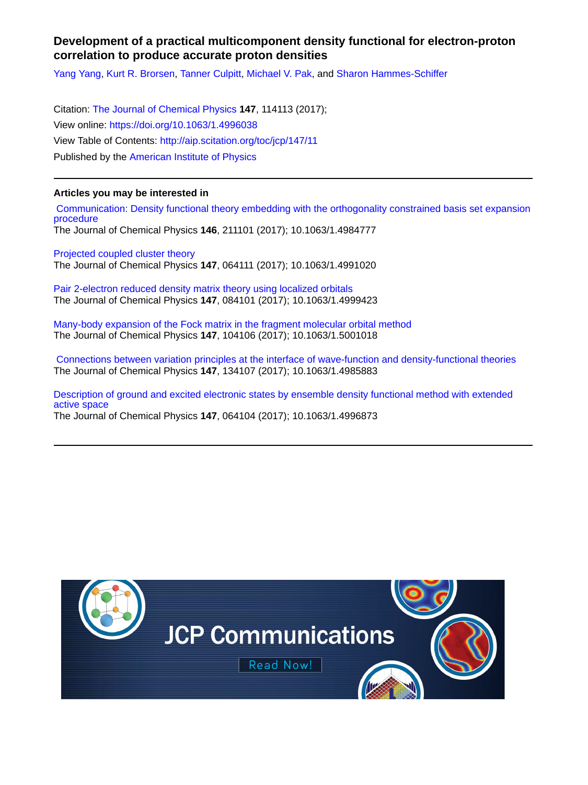## **Development of a practical multicomponent density functional for electron-proton correlation to produce accurate proton densities**

[Yang Yang](http://aip.scitation.org/author/Yang%2C+Yang), [Kurt R. Brorsen,](http://aip.scitation.org/author/Brorsen%2C+Kurt+R) [Tanner Culpitt,](http://aip.scitation.org/author/Culpitt%2C+Tanner) [Michael V. Pak](http://aip.scitation.org/author/Pak%2C+Michael+V), and [Sharon Hammes-Schiffer](http://aip.scitation.org/author/Hammes-Schiffer%2C+Sharon)

Citation: [The Journal of Chemical Physics](/loi/jcp) **147**, 114113 (2017); View online: <https://doi.org/10.1063/1.4996038> View Table of Contents: <http://aip.scitation.org/toc/jcp/147/11> Published by the [American Institute of Physics](http://aip.scitation.org/publisher/)

### **Articles you may be interested in**

 [Communication: Density functional theory embedding with the orthogonality constrained basis set expansion](http://aip.scitation.org/doi/abs/10.1063/1.4984777) [procedure](http://aip.scitation.org/doi/abs/10.1063/1.4984777) The Journal of Chemical Physics **146**, 211101 (2017); 10.1063/1.4984777

[Projected coupled cluster theory](http://aip.scitation.org/doi/abs/10.1063/1.4991020) The Journal of Chemical Physics **147**, 064111 (2017); 10.1063/1.4991020

[Pair 2-electron reduced density matrix theory using localized orbitals](http://aip.scitation.org/doi/abs/10.1063/1.4999423) The Journal of Chemical Physics **147**, 084101 (2017); 10.1063/1.4999423

[Many-body expansion of the Fock matrix in the fragment molecular orbital method](http://aip.scitation.org/doi/abs/10.1063/1.5001018) The Journal of Chemical Physics **147**, 104106 (2017); 10.1063/1.5001018

 [Connections between variation principles at the interface of wave-function and density-functional theories](http://aip.scitation.org/doi/abs/10.1063/1.4985883) The Journal of Chemical Physics **147**, 134107 (2017); 10.1063/1.4985883

[Description of ground and excited electronic states by ensemble density functional method with extended](http://aip.scitation.org/doi/abs/10.1063/1.4996873) [active space](http://aip.scitation.org/doi/abs/10.1063/1.4996873)

The Journal of Chemical Physics **147**, 064104 (2017); 10.1063/1.4996873

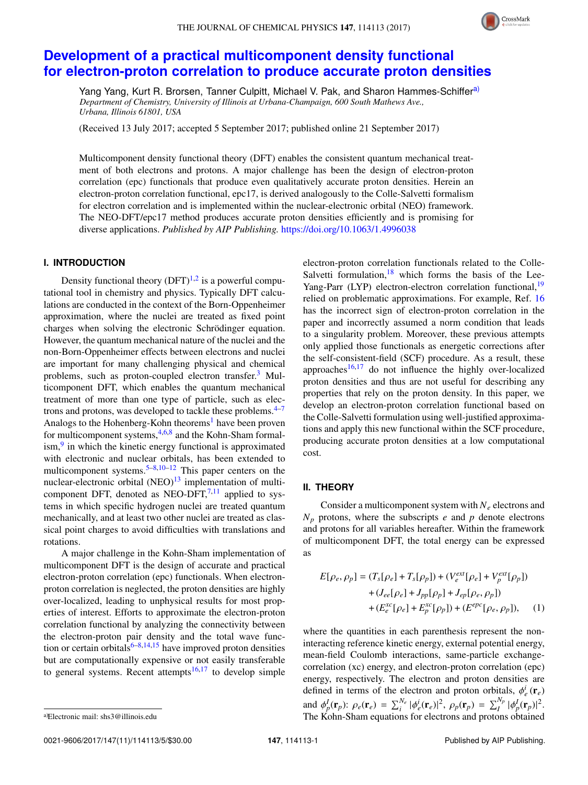

# **[Development of a practical multicomponent density functional](https://doi.org/10.1063/1.4996038) [for electron-proton correlation to produce accurate proton densities](https://doi.org/10.1063/1.4996038)**

Yang Yang, Kurt R. Brorsen, Tanner Culpitt, Michael V. Pak, and Sharon Hammes-Schiffer<sup>[a\)](#page-1-0)</sup> *Department of Chemistry, University of Illinois at Urbana-Champaign, 600 South Mathews Ave., Urbana, Illinois 61801, USA*

(Received 13 July 2017; accepted 5 September 2017; published online 21 September 2017)

Multicomponent density functional theory (DFT) enables the consistent quantum mechanical treatment of both electrons and protons. A major challenge has been the design of electron-proton correlation (epc) functionals that produce even qualitatively accurate proton densities. Herein an electron-proton correlation functional, epc17, is derived analogously to the Colle-Salvetti formalism for electron correlation and is implemented within the nuclear-electronic orbital (NEO) framework. The NEO-DFT/epc17 method produces accurate proton densities efficiently and is promising for diverse applications. *Published by AIP Publishing.* <https://doi.org/10.1063/1.4996038>

### **I. INTRODUCTION**

Density functional theory  $(DFT)^{1,2}$  $(DFT)^{1,2}$  $(DFT)^{1,2}$  $(DFT)^{1,2}$  is a powerful computational tool in chemistry and physics. Typically DFT calculations are conducted in the context of the Born-Oppenheimer approximation, where the nuclei are treated as fixed point charges when solving the electronic Schrödinger equation. However, the quantum mechanical nature of the nuclei and the non-Born-Oppenheimer effects between electrons and nuclei are important for many challenging physical and chemical problems, such as proton-coupled electron transfer.<sup>[3](#page-5-2)</sup> Multicomponent DFT, which enables the quantum mechanical treatment of more than one type of particle, such as electrons and protons, was developed to tackle these problems. $4-7$  $4-7$ Analogs to the Hohenberg-Kohn theorems<sup>[1](#page-5-0)</sup> have been proven for multicomponent systems,<sup>[4](#page-5-3)[,6,](#page-5-5)[8](#page-5-6)</sup> and the Kohn-Sham formal-ism,<sup>[9](#page-5-7)</sup> in which the kinetic energy functional is approximated with electronic and nuclear orbitals, has been extended to multicomponent systems.<sup>[5–](#page-5-8)[8](#page-5-6)[,10](#page-5-9)[–12](#page-5-10)</sup> This paper centers on the nuclear-electronic orbital  $(NEO)^{13}$  $(NEO)^{13}$  $(NEO)^{13}$  implementation of multicomponent DFT, denoted as NEO-DFT, $7,11$  $7,11$  applied to systems in which specific hydrogen nuclei are treated quantum mechanically, and at least two other nuclei are treated as classical point charges to avoid difficulties with translations and rotations.

A major challenge in the Kohn-Sham implementation of multicomponent DFT is the design of accurate and practical electron-proton correlation (epc) functionals. When electronproton correlation is neglected, the proton densities are highly over-localized, leading to unphysical results for most properties of interest. Efforts to approximate the electron-proton correlation functional by analyzing the connectivity between the electron-proton pair density and the total wave func-tion or certain orbitals<sup>[6–](#page-5-5)[8,](#page-5-6)[14,](#page-5-13)[15](#page-5-14)</sup> have improved proton densities but are computationally expensive or not easily transferable to general systems. Recent attempts<sup>[16](#page-5-15)[,17](#page-5-16)</sup> to develop simple

electron-proton correlation functionals related to the Colle-Salvetti formulation, $18$  which forms the basis of the Lee-Yang-Parr (LYP) electron-electron correlation functional,<sup>[19](#page-5-18)</sup> relied on problematic approximations. For example, Ref. [16](#page-5-15) has the incorrect sign of electron-proton correlation in the paper and incorrectly assumed a norm condition that leads to a singularity problem. Moreover, these previous attempts only applied those functionals as energetic corrections after the self-consistent-field (SCF) procedure. As a result, these approaches $16,17$  $16,17$  do not influence the highly over-localized proton densities and thus are not useful for describing any properties that rely on the proton density. In this paper, we develop an electron-proton correlation functional based on the Colle-Salvetti formulation using well-justified approximations and apply this new functional within the SCF procedure, producing accurate proton densities at a low computational cost.

#### **II. THEORY**

Consider a multicomponent system with *N<sup>e</sup>* electrons and  $N_p$  protons, where the subscripts *e* and *p* denote electrons and protons for all variables hereafter. Within the framework of multicomponent DFT, the total energy can be expressed as

<span id="page-1-1"></span>
$$
E[\rho_e, \rho_p] = (T_s[\rho_e] + T_s[\rho_p]) + (V_e^{ext}[\rho_e] + V_p^{ext}[\rho_p]) + (J_{ee}[\rho_e] + J_{pp}[\rho_p] + J_{ep}[\rho_e, \rho_p]) + (E_e^{xc}[\rho_e] + E_p^{xc}[\rho_p]) + (E_{\rho}^{epc}[\rho_e, \rho_p]),
$$
 (1)

where the quantities in each parenthesis represent the noninteracting reference kinetic energy, external potential energy, mean-field Coulomb interactions, same-particle exchangecorrelation (xc) energy, and electron-proton correlation (epc) energy, respectively. The electron and proton densities are defined in terms of the electron and proton orbitals,  $\phi_e^i(\mathbf{r}_e)$ and  $\phi_p^I(\mathbf{r}_p)$ :  $\rho_e(\mathbf{r}_e) = \sum_i^{N_e} |\phi_e^i(\mathbf{r}_e)|^2$ ,  $\rho_p(\mathbf{r}_p) = \sum_i^{N_p} |\phi_p^I(\mathbf{r}_p)|^2$ .<br>The Kohn-Sham equations for electrons and protons obtained The Kohn-Sham equations for electrons and protons obtained

<span id="page-1-0"></span>a)Electronic mail: [shs3@illinois.edu](mailto:shs3@illinois.edu)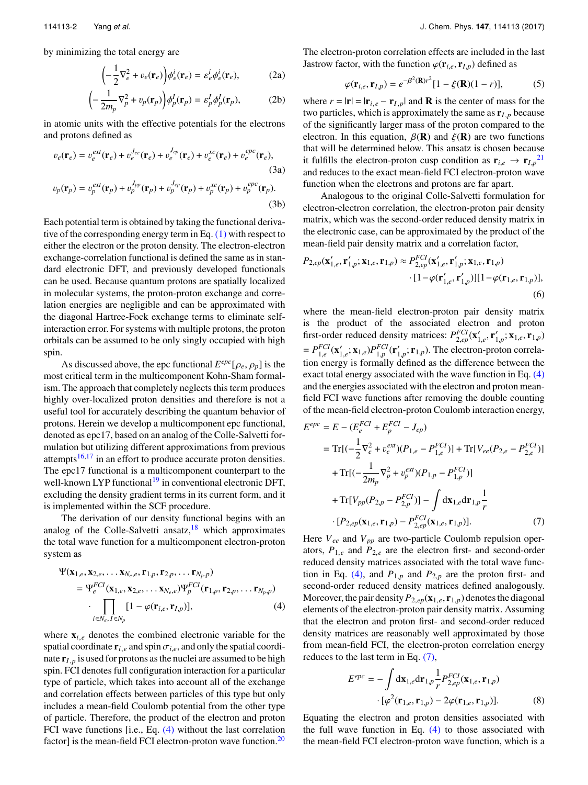by minimizing the total energy are

$$
\left(-\frac{1}{2}\nabla_e^2 + v_e(\mathbf{r}_e)\right)\phi_e^i(\mathbf{r}_e) = \varepsilon_e^i\phi_e^i(\mathbf{r}_e),\tag{2a}
$$

$$
\left(-\frac{1}{2m_p}\nabla_p^2 + v_p(\mathbf{r}_p)\right)\phi_p^I(\mathbf{r}_p) = \varepsilon_p^I \phi_p^I(\mathbf{r}_p),\tag{2b}
$$

in atomic units with the effective potentials for the electrons and protons defined as

$$
v_e(\mathbf{r}_e) = v_e^{ext}(\mathbf{r}_e) + v_e^{J_{ee}}(\mathbf{r}_e) + v_e^{J_{ep}}(\mathbf{r}_e) + v_e^{xc}(\mathbf{r}_e) + v_e^{epc}(\mathbf{r}_e),
$$
\n(3a)\n
$$
v_p(\mathbf{r}_p) = v_p^{ext}(\mathbf{r}_p) + v_p^{J_{pp}}(\mathbf{r}_p) + v_p^{J_{ep}}(\mathbf{r}_p) + v_p^{xc}(\mathbf{r}_p) + v_p^{epc}(\mathbf{r}_p).
$$
\n(3b)

Each potential term is obtained by taking the functional derivative of the corresponding energy term in Eq. [\(1\)](#page-1-1) with respect to either the electron or the proton density. The electron-electron exchange-correlation functional is defined the same as in standard electronic DFT, and previously developed functionals can be used. Because quantum protons are spatially localized in molecular systems, the proton-proton exchange and correlation energies are negligible and can be approximated with the diagonal Hartree-Fock exchange terms to eliminate selfinteraction error. For systems with multiple protons, the proton orbitals can be assumed to be only singly occupied with high spin.

As discussed above, the epc functional  $E^{epc}[\rho_e, \rho_p]$  is the term in the multicomponent Kohn-Sham formalmost critical term in the multicomponent Kohn-Sham formalism. The approach that completely neglects this term produces highly over-localized proton densities and therefore is not a useful tool for accurately describing the quantum behavior of protons. Herein we develop a multicomponent epc functional, denoted as epc17, based on an analog of the Colle-Salvetti formulation but utilizing different approximations from previous attempts $16,17$  $16,17$  in an effort to produce accurate proton densities. The epc17 functional is a multicomponent counterpart to the well-known LYP functional<sup>[19](#page-5-18)</sup> in conventional electronic DFT, excluding the density gradient terms in its current form, and it is implemented within the SCF procedure.

The derivation of our density functional begins with an analog of the Colle-Salvetti ansatz, $18$  which approximates the total wave function for a multicomponent electron-proton system as

$$
\Psi(\mathbf{x}_{1,e}, \mathbf{x}_{2,e}, \dots \mathbf{x}_{N_e,e}, \mathbf{r}_{1,p}, \mathbf{r}_{2,p}, \dots \mathbf{r}_{N_p,p})
$$
\n
$$
= \Psi_e^{FCI}(\mathbf{x}_{1,e}, \mathbf{x}_{2,e}, \dots \mathbf{x}_{N_e,e}) \Psi_p^{FCI}(\mathbf{r}_{1,p}, \mathbf{r}_{2,p}, \dots \mathbf{r}_{N_p,p})
$$
\n
$$
\cdot \prod_{i \in N_e, I \in N_p} [1 - \varphi(\mathbf{r}_{i,e}, \mathbf{r}_{I,p})], \tag{4}
$$

where  $\mathbf{x}_{i,e}$  denotes the combined electronic variable for the spatial coordinate  $\mathbf{r}_{i,e}$  and spin  $\sigma_{i,e}$ , and only the spatial coordinate  $\mathbf{r}_{I,p}$  is used for protons as the nuclei are assumed to be high spin. FCI denotes full configuration interaction for a particular type of particle, which takes into account all of the exchange and correlation effects between particles of this type but only includes a mean-field Coulomb potential from the other type of particle. Therefore, the product of the electron and proton FCI wave functions [i.e., Eq. [\(4\)](#page-2-0) without the last correlation factor] is the mean-field FCI electron-proton wave function.<sup>[20](#page-5-19)</sup>

The electron-proton correlation effects are included in the last Jastrow factor, with the function  $\varphi(\mathbf{r}_{i,e}, \mathbf{r}_{I,p})$  defined as<br>  $\varphi(\mathbf{r}_{i,e}, \mathbf{r}_{I,p}) = e^{-\beta^2 (\mathbf{R}) r^2} [1 - \xi(\mathbf{R})(1 - r)],$  (5)<br>
where  $r = |\mathbf{r}| = |\mathbf{r}_{i,e} - \mathbf{r}_{I,p}|$  and **R** is the center of mass for the

<span id="page-2-3"></span>
$$
\varphi(\mathbf{r}_{i,e}, \mathbf{r}_{I,p}) = e^{-\beta^2(\mathbf{R})r^2} [1 - \xi(\mathbf{R})(1 - r)],\tag{5}
$$

two particles, which is approximately the same as  $\mathbf{r}_{I,p}$  because of the significantly larger mass of the proton compared to the electron. In this equation,  $\beta(\mathbf{R})$  and  $\xi(\mathbf{R})$  are two functions that will be determined below. This ansatz is chosen because it fulfills the electron-proton cusp condition as  $\mathbf{r}_{i,e} \rightarrow \mathbf{r}_{I,p}^{21}$  $\mathbf{r}_{i,e} \rightarrow \mathbf{r}_{I,p}^{21}$  $\mathbf{r}_{i,e} \rightarrow \mathbf{r}_{I,p}^{21}$ and reduces to the exact mean-field FCI electron-proton wave function when the electrons and protons are far apart.

Analogous to the original Colle-Salvetti formulation for electron-electron correlation, the electron-proton pair density matrix, which was the second-order reduced density matrix in the electronic case, can be approximated by the product of the mean-field pair density matrix and a correlation factor,

$$
P_{2,ep}(\mathbf{x}'_{1,e}, \mathbf{r}'_{1,p}; \mathbf{x}_{1,e}, \mathbf{r}_{1,p}) \approx P_{2,ep}^{FCI}(\mathbf{x}'_{1,e}, \mathbf{r}'_{1,p}; \mathbf{x}_{1,e}, \mathbf{r}_{1,p})
$$

$$
\cdot [1 - \varphi(\mathbf{r}'_{1,e}, \mathbf{r}'_{1,p})][1 - \varphi(\mathbf{r}_{1,e}, \mathbf{r}_{1,p})],
$$

$$
(6)
$$

where the mean-field electron-proton pair density matrix is the product of the associated electron and proton first-order reduced density matrices:  $P_{2,ep}^{FCI}(\mathbf{x}'_{1,e}, \mathbf{r}'_{1,p}; \mathbf{x}_{1,e}, \mathbf{r}_{1,p})$  $= P_{1,e}^{FCI}(\mathbf{x}'_{1,e}; \mathbf{x}_{1,e}) P_{1,p}^{FCI}(\mathbf{r}'_{1,p}; \mathbf{r}_{1,p})$ . The electron-proton correlation energy is formally defined as the difference between the exact total energy associated with the wave function in Eq. [\(4\)](#page-2-0) and the energies associated with the electron and proton meanfield FCI wave functions after removing the double counting of the mean-field electron-proton Coulomb interaction energy,

$$
E^{epc} = E - (E_e^{FCI} + E_p^{FCI} - J_{ep})
$$
  
= Tr[ $(-\frac{1}{2}\nabla_e^2 + v_e^{ext})(P_{1,e} - P_{1,e}^{FCI})$ ] + Tr[ $V_{ee}(P_{2,e} - P_{2,e}^{FCI})$ ]  
+ Tr[ $(-\frac{1}{2m_p}\nabla_p^2 + v_p^{ext})(P_{1,p} - P_{1,p}^{FCI})$ ]  
+ Tr[ $V_{pp}(P_{2,p} - P_{2,p}^{FCI})$ ] -  $\int d\mathbf{x}_{1,e}d\mathbf{r}_{1,p} \frac{1}{r}$   
 $\cdot [P_{2,ep}(\mathbf{x}_{1,e}, \mathbf{r}_{1,p}) - P_{2,ep}^{FCI}(\mathbf{x}_{1,e}, \mathbf{r}_{1,p})].$  (7)

<span id="page-2-1"></span><span id="page-2-0"></span>Here *Vee* and *Vpp* are two-particle Coulomb repulsion operators,  $P_{1,e}$  and  $P_{2,e}$  are the electron first- and second-order reduced density matrices associated with the total wave func-tion in Eq. [\(4\),](#page-2-0) and  $P_{1,p}$  and  $P_{2,p}$  are the proton first- and second-order reduced density matrices defined analogously. Moreover, the pair density  $P_{2,ep}(\mathbf{x}_{1,e}, \mathbf{r}_{1,p})$  denotes the diagonal elements of the electron-proton pair density matrix. Assuming that the electron and proton first- and second-order reduced density matrices are reasonably well approximated by those from mean-field FCI, the electron-proton correlation energy reduces to the last term in Eq. [\(7\),](#page-2-1)

<span id="page-2-2"></span>
$$
E^{epc} = -\int d\mathbf{x}_{1,e} d\mathbf{r}_{1,p} \frac{1}{r} P_{2,ep}^{FCI}(\mathbf{x}_{1,e}, \mathbf{r}_{1,p})
$$

$$
\cdot [\varphi^2(\mathbf{r}_{1,e}, \mathbf{r}_{1,p}) - 2\varphi(\mathbf{r}_{1,e}, \mathbf{r}_{1,p})]. \tag{8}
$$

Equating the electron and proton densities associated with the full wave function in Eq. [\(4\)](#page-2-0) to those associated with the mean-field FCI electron-proton wave function, which is a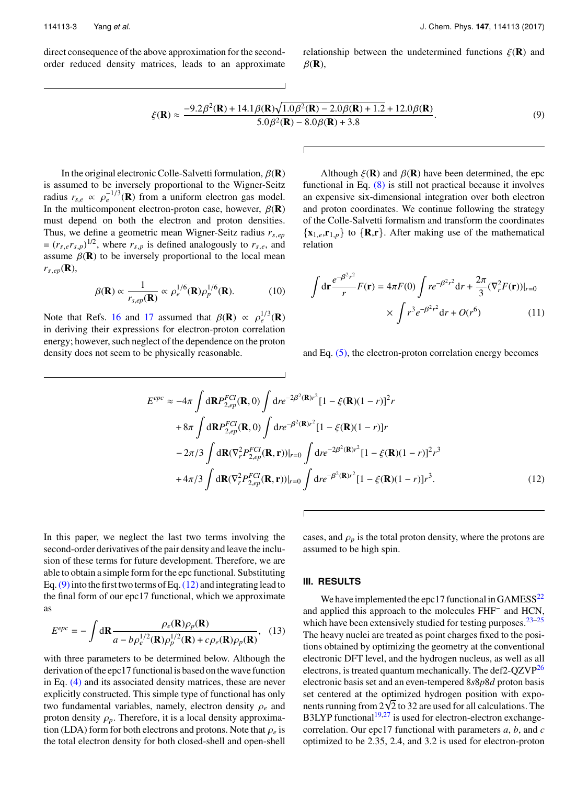114113-3 Yang *et al.* J. Chem. Phys. **147**, 114113 (2017)

direct consequence of the above approximation for the secondorder reduced density matrices, leads to an approximate relationship between the undetermined functions  $\xi(\mathbf{R})$  and  $\beta(\mathbf{R}),$ 

<span id="page-3-0"></span>
$$
\xi(\mathbf{R}) \approx \frac{-9.2\beta^2(\mathbf{R}) + 14.1\beta(\mathbf{R})\sqrt{1.0\beta^2(\mathbf{R}) - 2.0\beta(\mathbf{R}) + 1.2} + 12.0\beta(\mathbf{R})}{5.0\beta^2(\mathbf{R}) - 8.0\beta(\mathbf{R}) + 3.8}.
$$
\n(9)

In the original electronic Colle-Salvetti formulation,  $\beta(\mathbf{R})$ is assumed to be inversely proportional to the Wigner-Seitz radius  $r_{s,e} \propto \rho_e^{-1/3}(\mathbf{R})$  from a uniform electron gas model.<br>In the multicomponent electron-proton case, however,  $B(\mathbf{R})$ In the multicomponent electron-proton case, however,  $\beta(\mathbf{R})$ must depend on both the electron and proton densities. Thus, we define a geometric mean Wigner-Seitz radius *rs*,*ep*  $= (r_{s,e}r_{s,p})^{1/2}$ , where  $r_{s,p}$  is defined analogously to  $r_{s,e}$ , and assume  $\beta(\mathbf{R})$  to be inversely proportional to the local mean  $r_{s,ep}(\mathbf{R}),$ 

$$
\beta(\mathbf{R}) \propto \frac{1}{r_{s,ep}(\mathbf{R})} \propto \rho_e^{1/6}(\mathbf{R}) \rho_p^{1/6}(\mathbf{R}).
$$
 (10)

Note that Refs. [16](#page-5-15) and [17](#page-5-16) assumed that  $\beta(\mathbf{R}) \propto \rho_e^{1/3}(\mathbf{R})$ <br>in deriving their expressions for electron-proton correlation in deriving their expressions for electron-proton correlation energy; however, such neglect of the dependence on the proton density does not seem to be physically reasonable.

Although 
$$
\xi(\mathbf{R})
$$
 and  $\beta(\mathbf{R})$  have been determined, the epc  
functional in Eq. (8) is still not practical because it involves  
an expensive six-dimensional integration over both electron  
and proton coordinates. We continue following the strategy  
of the Colle-Salvetti formalism and transform the coordinates  
 $\{\mathbf{x}_{1,e}, \mathbf{r}_{1,p}\}$  to  $\{\mathbf{R}, \mathbf{r}\}$ . After making use of the mathematical  
relation

$$
\int d\mathbf{r} \frac{e^{-\beta^2 r^2}}{r} F(\mathbf{r}) = 4\pi F(0) \int r e^{-\beta^2 r^2} dr + \frac{2\pi}{3} (\nabla_r^2 F(\mathbf{r}))|_{r=0}
$$

$$
\times \int r^3 e^{-\beta^2 r^2} dr + O(r^6) \tag{11}
$$

and Eq. [\(5\),](#page-2-3) the electron-proton correlation energy becomes

$$
E^{epc} \approx -4\pi \int d\mathbf{R} P_{2,ep}^{FCI}(\mathbf{R}, 0) \int dre^{-2\beta^2(\mathbf{R})r^2} [1 - \xi(\mathbf{R})(1 - r)]^2 r
$$
  
+8\pi \int d\mathbf{R} P\_{2,ep}^{FCI}(\mathbf{R}, 0) \int dre^{-\beta^2(\mathbf{R})r^2} [1 - \xi(\mathbf{R})(1 - r)]r  
-2\pi/3 \int d\mathbf{R} (\nabla\_r^2 P\_{2,ep}^{FCI}(\mathbf{R}, \mathbf{r}))|\_{r=0} \int dre^{-2\beta^2(\mathbf{R})r^2} [1 - \xi(\mathbf{R})(1 - r)]^2 r^3  
+4\pi/3 \int d\mathbf{R} (\nabla\_r^2 P\_{2,ep}^{FCI}(\mathbf{R}, \mathbf{r}))|\_{r=0} \int dre^{-\beta^2(\mathbf{R})r^2} [1 - \xi(\mathbf{R})(1 - r)]r^3. (12)

In this paper, we neglect the last two terms involving the second-order derivatives of the pair density and leave the inclusion of these terms for future development. Therefore, we are able to obtain a simple form for the epc functional. Substituting Eq.  $(9)$  into the first two terms of Eq.  $(12)$  and integrating lead to the final form of our epc17 functional, which we approximate as

$$
E^{epc} = -\int d\mathbf{R} \frac{\rho_e(\mathbf{R})\rho_p(\mathbf{R})}{a - b\rho_e^{1/2}(\mathbf{R})\rho_p^{1/2}(\mathbf{R}) + c\rho_e(\mathbf{R})\rho_p(\mathbf{R})},
$$
 (13)

with three parameters to be determined below. Although the derivation of the epc17 functional is based on the wave function in Eq. [\(4\)](#page-2-0) and its associated density matrices, these are never explicitly constructed. This simple type of functional has only two fundamental variables, namely, electron density <sup>ρ</sup>*<sup>e</sup>* and proton density  $\rho_p$ . Therefore, it is a local density approximation (LDA) form for both electrons and protons. Note that  $\rho_e$  is the total electron density for both closed-shell and open-shell

<span id="page-3-1"></span>cases, and  $\rho_p$  is the total proton density, where the protons are assumed to be high spin.

#### **III. RESULTS**

We have implemented the epc17 functional in  $GAMESS^{22}$  $GAMESS^{22}$  $GAMESS^{22}$ and applied this approach to the molecules FHF<sup>−</sup> and HCN, which have been extensively studied for testing purposes.  $23-25$  $23-25$ The heavy nuclei are treated as point charges fixed to the positions obtained by optimizing the geometry at the conventional electronic DFT level, and the hydrogen nucleus, as well as all electrons, is treated quantum mechanically. The def2-QZVP[26](#page-5-24) electronic basis set and an even-tempered 8*s*8*p*8*d* proton basis set centered at the optimized hydrogen position with exposet centered at the optimized hydrogen position with exponents running from  $2\sqrt{2}$  to 32 are used for all calculations. The  $B3LYP$  functional<sup>[19](#page-5-18)[,27](#page-5-25)</sup> is used for electron-electron exchangecorrelation. Our epc17 functional with parameters *a*, *b*, and *c* optimized to be 2.35, 2.4, and 3.2 is used for electron-proton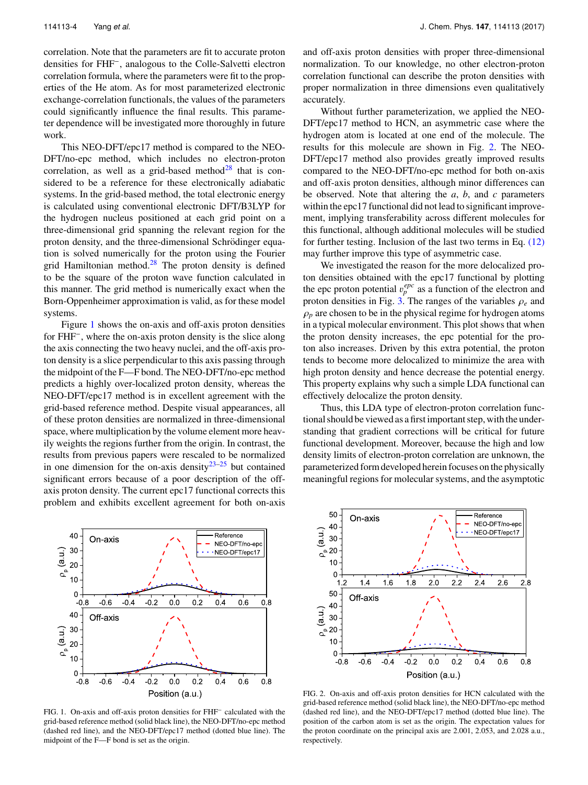114113-4 Yang *et al.* J. Chem. Phys. **147**, 114113 (2017)

correlation. Note that the parameters are fit to accurate proton densities for FHF<sup>−</sup> , analogous to the Colle-Salvetti electron correlation formula, where the parameters were fit to the properties of the He atom. As for most parameterized electronic exchange-correlation functionals, the values of the parameters could significantly influence the final results. This parameter dependence will be investigated more thoroughly in future work.

This NEO-DFT/epc17 method is compared to the NEO-DFT/no-epc method, which includes no electron-proton correlation, as well as a grid-based method<sup>[28](#page-5-26)</sup> that is considered to be a reference for these electronically adiabatic systems. In the grid-based method, the total electronic energy is calculated using conventional electronic DFT/B3LYP for the hydrogen nucleus positioned at each grid point on a three-dimensional grid spanning the relevant region for the proton density, and the three-dimensional Schrödinger equation is solved numerically for the proton using the Fourier grid Hamiltonian method. $28$  The proton density is defined to be the square of the proton wave function calculated in this manner. The grid method is numerically exact when the Born-Oppenheimer approximation is valid, as for these model systems.

Figure [1](#page-4-0) shows the on-axis and off-axis proton densities for FHF<sup>−</sup> , where the on-axis proton density is the slice along the axis connecting the two heavy nuclei, and the off-axis proton density is a slice perpendicular to this axis passing through the midpoint of the F—F bond. The NEO-DFT/no-epc method predicts a highly over-localized proton density, whereas the NEO-DFT/epc17 method is in excellent agreement with the grid-based reference method. Despite visual appearances, all of these proton densities are normalized in three-dimensional space, where multiplication by the volume element more heavily weights the regions further from the origin. In contrast, the results from previous papers were rescaled to be normalized in one dimension for the on-axis density $23-25$  $23-25$  but contained significant errors because of a poor description of the offaxis proton density. The current epc17 functional corrects this problem and exhibits excellent agreement for both on-axis

and off-axis proton densities with proper three-dimensional normalization. To our knowledge, no other electron-proton correlation functional can describe the proton densities with proper normalization in three dimensions even qualitatively accurately.

Without further parameterization, we applied the NEO-DFT/epc17 method to HCN, an asymmetric case where the hydrogen atom is located at one end of the molecule. The results for this molecule are shown in Fig. [2.](#page-4-1) The NEO-DFT/epc17 method also provides greatly improved results compared to the NEO-DFT/no-epc method for both on-axis and off-axis proton densities, although minor differences can be observed. Note that altering the *a*, *b*, and *c* parameters within the epc17 functional did not lead to significant improvement, implying transferability across different molecules for this functional, although additional molecules will be studied for further testing. Inclusion of the last two terms in Eq. [\(12\)](#page-3-1) may further improve this type of asymmetric case.

We investigated the reason for the more delocalized proton densities obtained with the epc17 functional by plotting the epc proton potential  $v_p^{epc}$  as a function of the electron and<br>proton densities in Fig. 3. The ranges of the variables  $\rho$  and proton densities in Fig. [3.](#page-5-27) The ranges of the variables <sup>ρ</sup>*<sup>e</sup>* and  $\rho_p$  are chosen to be in the physical regime for hydrogen atoms in a typical molecular environment. This plot shows that when the proton density increases, the epc potential for the proton also increases. Driven by this extra potential, the proton tends to become more delocalized to minimize the area with high proton density and hence decrease the potential energy. This property explains why such a simple LDA functional can effectively delocalize the proton density.

Thus, this LDA type of electron-proton correlation functional should be viewed as a first important step, with the understanding that gradient corrections will be critical for future functional development. Moreover, because the high and low density limits of electron-proton correlation are unknown, the parameterized form developed herein focuses on the physically meaningful regions for molecular systems, and the asymptotic

<span id="page-4-0"></span>

FIG. 1. On-axis and off-axis proton densities for FHF<sup>−</sup> calculated with the grid-based reference method (solid black line), the NEO-DFT/no-epc method (dashed red line), and the NEO-DFT/epc17 method (dotted blue line). The midpoint of the F—F bond is set as the origin.

<span id="page-4-1"></span>

FIG. 2. On-axis and off-axis proton densities for HCN calculated with the grid-based reference method (solid black line), the NEO-DFT/no-epc method (dashed red line), and the NEO-DFT/epc17 method (dotted blue line). The position of the carbon atom is set as the origin. The expectation values for the proton coordinate on the principal axis are 2.001, 2.053, and 2.028 a.u., respectively.